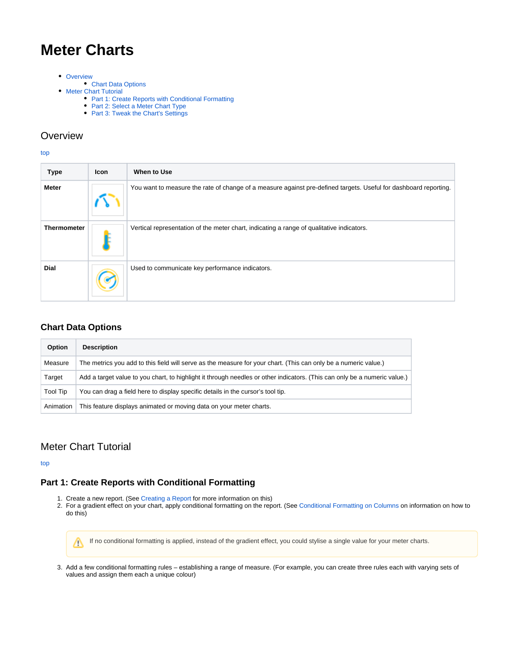# <span id="page-0-4"></span>**Meter Charts**

- [Overview](#page-0-0)
- [Chart Data Options](#page-0-1)
- **[Meter Chart Tutorial](#page-0-2)** 
	- [Part 1: Create Reports with Conditional Formatting](#page-0-3)
		- [Part 2: Select a Meter Chart Type](#page-2-0)
		- [Part 3: Tweak the Chart's Settings](#page-3-0)

## <span id="page-0-0"></span>**Overview**

#### [top](#page-0-4)

| <b>Type</b>        | <b>Icon</b> | When to Use                                                                                                      |
|--------------------|-------------|------------------------------------------------------------------------------------------------------------------|
| <b>Meter</b>       |             | You want to measure the rate of change of a measure against pre-defined targets. Useful for dashboard reporting. |
| <b>Thermometer</b> |             | Vertical representation of the meter chart, indicating a range of qualitative indicators.                        |
| <b>Dial</b>        |             | Used to communicate key performance indicators.                                                                  |

### <span id="page-0-1"></span>**Chart Data Options**

| Option    | <b>Description</b>                                                                                                        |
|-----------|---------------------------------------------------------------------------------------------------------------------------|
| Measure   | The metrics you add to this field will serve as the measure for your chart. (This can only be a numeric value.)           |
| Target    | Add a target value to you chart, to highlight it through needles or other indicators. (This can only be a numeric value.) |
| Tool Tip  | You can drag a field here to display specific details in the cursor's tool tip.                                           |
| Animation | This feature displays animated or moving data on your meter charts.                                                       |

# <span id="page-0-2"></span>Meter Chart Tutorial

[top](#page-0-4)

# <span id="page-0-3"></span>**Part 1: Create Reports with Conditional Formatting**

- 1. Create a new report. (See [Creating a Report](https://wiki.yellowfinbi.com/display/USER74/Creating+a+Report) for more information on this)
- 2. For a gradient effect on your chart, apply conditional formatting on the report. (See [Conditional Formatting on Columns](https://wiki.yellowfinbi.com/display/USER74/Columns+Conditional+Formatting) on information on how to do this)

If no conditional formatting is applied, instead of the gradient effect, you could stylise a single value for your meter charts.Λ

3. Add a few conditional formatting rules – establishing a range of measure. (For example, you can create three rules each with varying sets of values and assign them each a unique colour)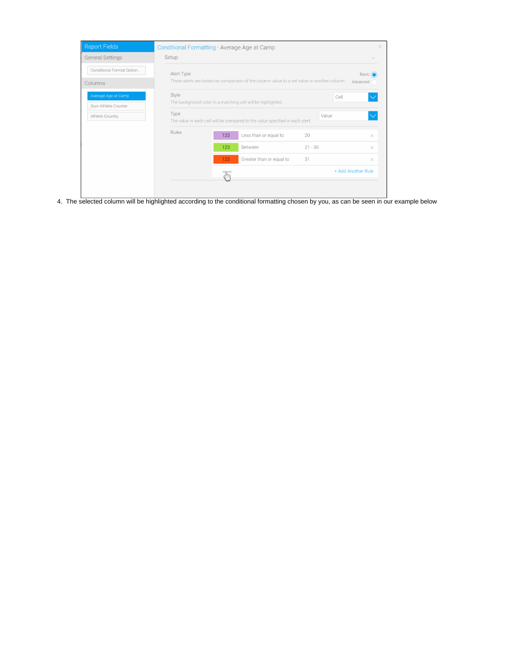| <b>Report Fields</b>                       | Conditional Formatting - Average Age at Camp                                                             |                                                                      |                                                                               |           | $\times$           |  |
|--------------------------------------------|----------------------------------------------------------------------------------------------------------|----------------------------------------------------------------------|-------------------------------------------------------------------------------|-----------|--------------------|--|
| <b>General Settings</b>                    | Setup                                                                                                    |                                                                      |                                                                               |           | $\wedge$           |  |
| Conditional Format Option<br>Columns       | Alert Type<br>These alerts are based on comparison of the column value to a set value or another column. | Basic $\bigcap$<br>Advanced (                                        |                                                                               |           |                    |  |
| Average Age at Camp<br>Sum Athlete Counter | Style                                                                                                    | Cell<br>The background color in a matching cell will be highlighted. |                                                                               |           |                    |  |
| Athlete Country                            | Type                                                                                                     |                                                                      | The value in each cell will be compared to the value specified in each alert. | Value     |                    |  |
|                                            | Rules                                                                                                    | 123                                                                  | Less than or equal to                                                         | 20        | $\times$           |  |
|                                            |                                                                                                          | 123                                                                  | Between                                                                       | $21 - 30$ | ×                  |  |
|                                            |                                                                                                          | 123                                                                  | Greater than or equal to                                                      | 31        | $\times$           |  |
|                                            |                                                                                                          |                                                                      |                                                                               |           | + Add Another Rule |  |
|                                            |                                                                                                          |                                                                      |                                                                               |           |                    |  |

4. The selected column will be highlighted according to the conditional formatting chosen by you, as can be seen in our example below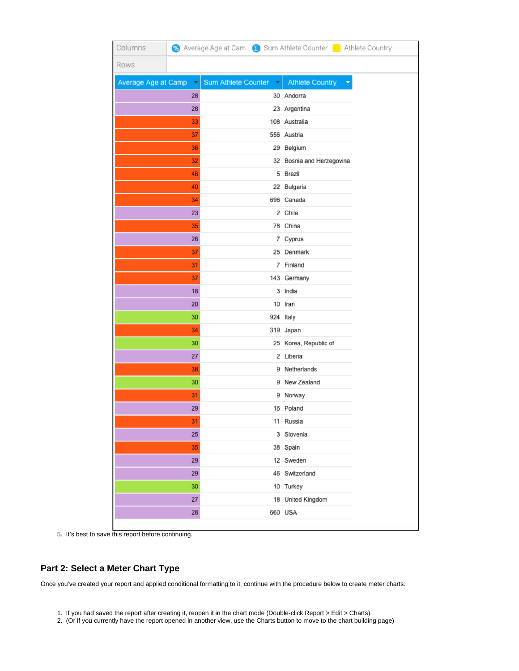| Columns               |        |                     |    |                           | % Average Age at Cam So Sum Athlete Counter ■ Athlete Country |
|-----------------------|--------|---------------------|----|---------------------------|---------------------------------------------------------------|
| Rows                  |        |                     |    |                           |                                                               |
| Average Age at Camp ~ |        | Sum Athlete Counter | ×. | Athlete Country           | ۳                                                             |
|                       | 28     |                     |    | 30 Andorra                |                                                               |
|                       | 28     |                     |    | 23 Argentina              |                                                               |
|                       | 33     |                     |    | 108 Australia             |                                                               |
|                       | 37     |                     |    | 556 Austria               |                                                               |
|                       | 36     |                     |    | 29 Belgium                |                                                               |
|                       | 32     |                     |    | 32 Bosnia and Herzegovina |                                                               |
|                       | 46     |                     |    | 5 Brazil                  |                                                               |
|                       | 40     |                     |    | 22 Bulgaria               |                                                               |
|                       | 34     |                     |    | 696 Canada                |                                                               |
|                       | 23     |                     |    | 2 Chile                   |                                                               |
|                       | 35     |                     |    | 78 China                  |                                                               |
|                       | 26     |                     |    | 7 Cyprus                  |                                                               |
|                       | 37     |                     |    | 25 Denmark                |                                                               |
|                       | 31     |                     |    | 7 Finland                 |                                                               |
|                       | 37     |                     |    | 143 Germany               |                                                               |
|                       | 18     |                     |    | 3 India                   |                                                               |
|                       | 20     |                     |    | 10 Iran                   |                                                               |
|                       | 30     |                     |    | 924 Italy                 |                                                               |
|                       | 34     |                     |    | 319 Japan                 |                                                               |
|                       | 30     |                     |    | 25 Korea, Republic of     |                                                               |
|                       | 27     |                     |    | 2 Liberia                 |                                                               |
|                       | 38     |                     |    | 9 Netherlands             |                                                               |
|                       | 30     |                     |    | 9 New Zealand             |                                                               |
|                       | 31     |                     |    | 9 Norway                  |                                                               |
|                       | 29     |                     |    | 16 Poland                 |                                                               |
|                       | 31     |                     |    | 11 Russia                 |                                                               |
|                       | 25     |                     |    | 3 Slovenia                |                                                               |
|                       | 35     |                     |    | 38 Spain                  |                                                               |
|                       | 29     |                     |    | 12 Sweden                 |                                                               |
|                       | 29     |                     |    | 46 Switzerland            |                                                               |
|                       | 30     |                     |    | 10 Turkey                 |                                                               |
|                       | $27\,$ |                     |    | 18 United Kingdom         |                                                               |
|                       | 28     |                     |    | 660 USA                   |                                                               |

5. It's best to save this report before continuing.

### <span id="page-2-0"></span>**Part 2: Select a Meter Chart Type**

Once you've created your report and applied conditional formatting to it, continue with the procedure below to create meter charts:

- 1. If you had saved the report after creating it, reopen it in the chart mode (Double-click Report > Edit > Charts)
- 2. (Or if you currently have the report opened in another view, use the Charts button to move to the chart building page)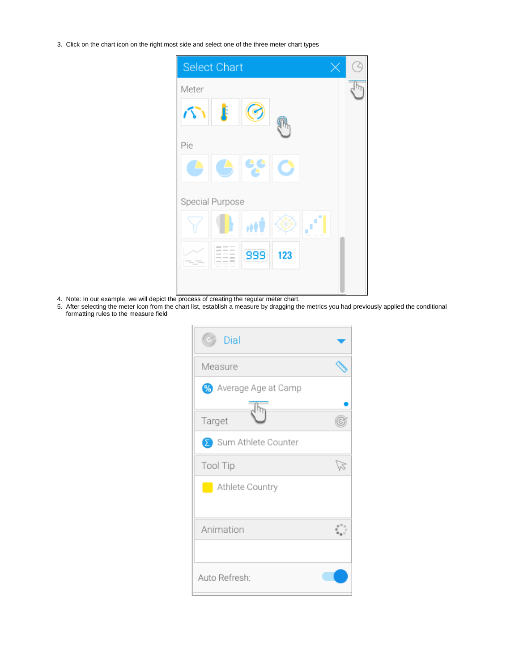3. Click on the chart icon on the right most side and select one of the three meter chart types



- 4. Note: In our example, we will depict the process of creating the regular meter chart.
- 5. After selecting the meter icon from the chart list, establish a measure by dragging the metrics you had previously applied the conditional formatting rules to the measure field

| Dial                  |  |
|-----------------------|--|
| Measure               |  |
| % Average Age at Camp |  |
| Target                |  |
| Sum Athlete Counter   |  |
| Tool Tip              |  |
| Athlete Country       |  |
| Animation             |  |
| Auto Refresh:         |  |

<span id="page-3-0"></span>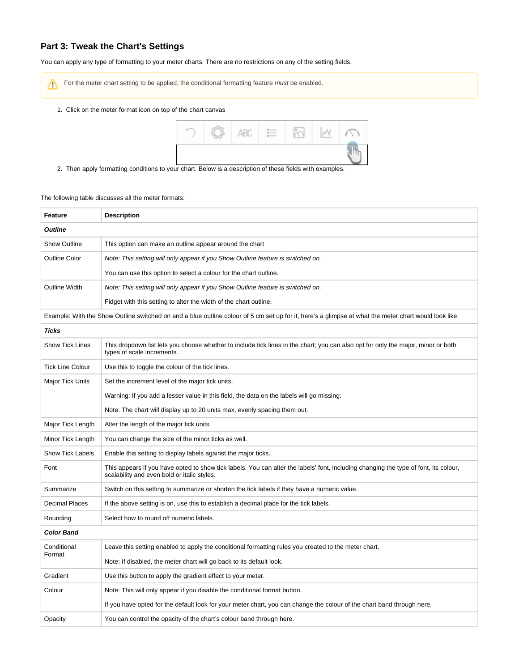#### **Part 3: Tweak the Chart's Settings**

You can apply any type of formatting to your meter charts. There are no restrictions on any of the setting fields.

For the meter chart setting to be applied, the conditional formatting feature must be enabled. Δ

1. Click on the meter format icon on top of the chart canvas



2. Then apply formatting conditions to your chart. Below is a description of these fields with examples.

The following table discusses all the meter formats:

| Feature                 | <b>Description</b>                                                                                                                                                                  |
|-------------------------|-------------------------------------------------------------------------------------------------------------------------------------------------------------------------------------|
| <b>Outline</b>          |                                                                                                                                                                                     |
| <b>Show Outline</b>     | This option can make an outline appear around the chart                                                                                                                             |
| <b>Outline Color</b>    | Note: This setting will only appear if you Show Outline feature is switched on.                                                                                                     |
|                         | You can use this option to select a colour for the chart outline.                                                                                                                   |
| <b>Outline Width</b>    | Note: This setting will only appear if you Show Outline feature is switched on.                                                                                                     |
|                         | Fidget with this setting to alter the width of the chart outline.                                                                                                                   |
|                         | Example: With the Show Outline switched on and a blue outline colour of 5 cm set up for it, here's a glimpse at what the meter chart would look like.                               |
| <b>Ticks</b>            |                                                                                                                                                                                     |
| <b>Show Tick Lines</b>  | This dropdown list lets you choose whether to include tick lines in the chart; you can also opt for only the major, minor or both<br>types of scale increments.                     |
| <b>Tick Line Colour</b> | Use this to toggle the colour of the tick lines.                                                                                                                                    |
| <b>Major Tick Units</b> | Set the increment level of the major tick units.                                                                                                                                    |
|                         | Warning: If you add a lesser value in this field, the data on the labels will go missing.                                                                                           |
|                         | Note: The chart will display up to 20 units max, evenly spacing them out.                                                                                                           |
| Major Tick Length       | Alter the length of the major tick units.                                                                                                                                           |
| Minor Tick Length       | You can change the size of the minor ticks as well.                                                                                                                                 |
| <b>Show Tick Labels</b> | Enable this setting to display labels against the major ticks.                                                                                                                      |
| Font                    | This appears if you have opted to show tick labels. You can alter the labels' font, including changing the type of font, its colour,<br>scalability and even bold or italic styles. |
| Summarize               | Switch on this setting to summarize or shorten the tick labels if they have a numeric value.                                                                                        |
| <b>Decimal Places</b>   | If the above setting is on, use this to establish a decimal place for the tick labels.                                                                                              |
| Rounding                | Select how to round off numeric labels.                                                                                                                                             |
| <b>Color Band</b>       |                                                                                                                                                                                     |
| Conditional<br>Format   | Leave this setting enabled to apply the conditional formatting rules you created to the meter chart.                                                                                |
|                         | Note: If disabled, the meter chart will go back to its default look.                                                                                                                |
| Gradient                | Use this button to apply the gradient effect to your meter.                                                                                                                         |
| Colour                  | Note: This will only appear if you disable the conditional format button.                                                                                                           |
|                         | If you have opted for the default look for your meter chart, you can change the colour of the chart band through here.                                                              |
| Opacity                 | You can control the opacity of the chart's colour band through here.                                                                                                                |